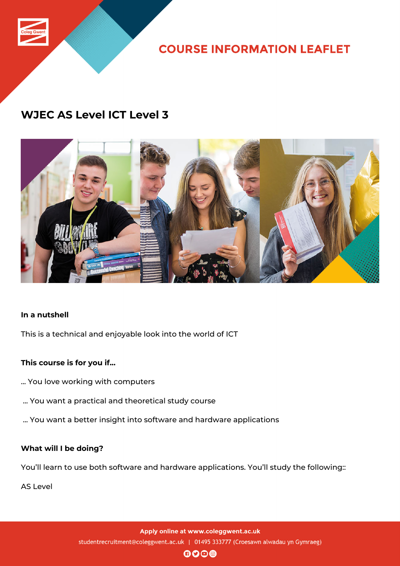

**COURSE INFORMATION LEAFLET** 

# **WJEC AS Level ICT Level 3**



### **In a nutshell**

This is a technical and enjoyable look into the world of ICT

## **This course is for you if...**

- ... You love working with computers
- ... You want a practical and theoretical study course
- ... You want a better insight into software and hardware applications

### **What will I be doing?**

You'll learn to use both software and hardware applications. You'll study the following::

AS Level

Apply online at www.coleggwent.ac.uk studentrecruitment@coleggwent.ac.uk | 01495 333777 (Croesawn alwadau yn Gymraeg)